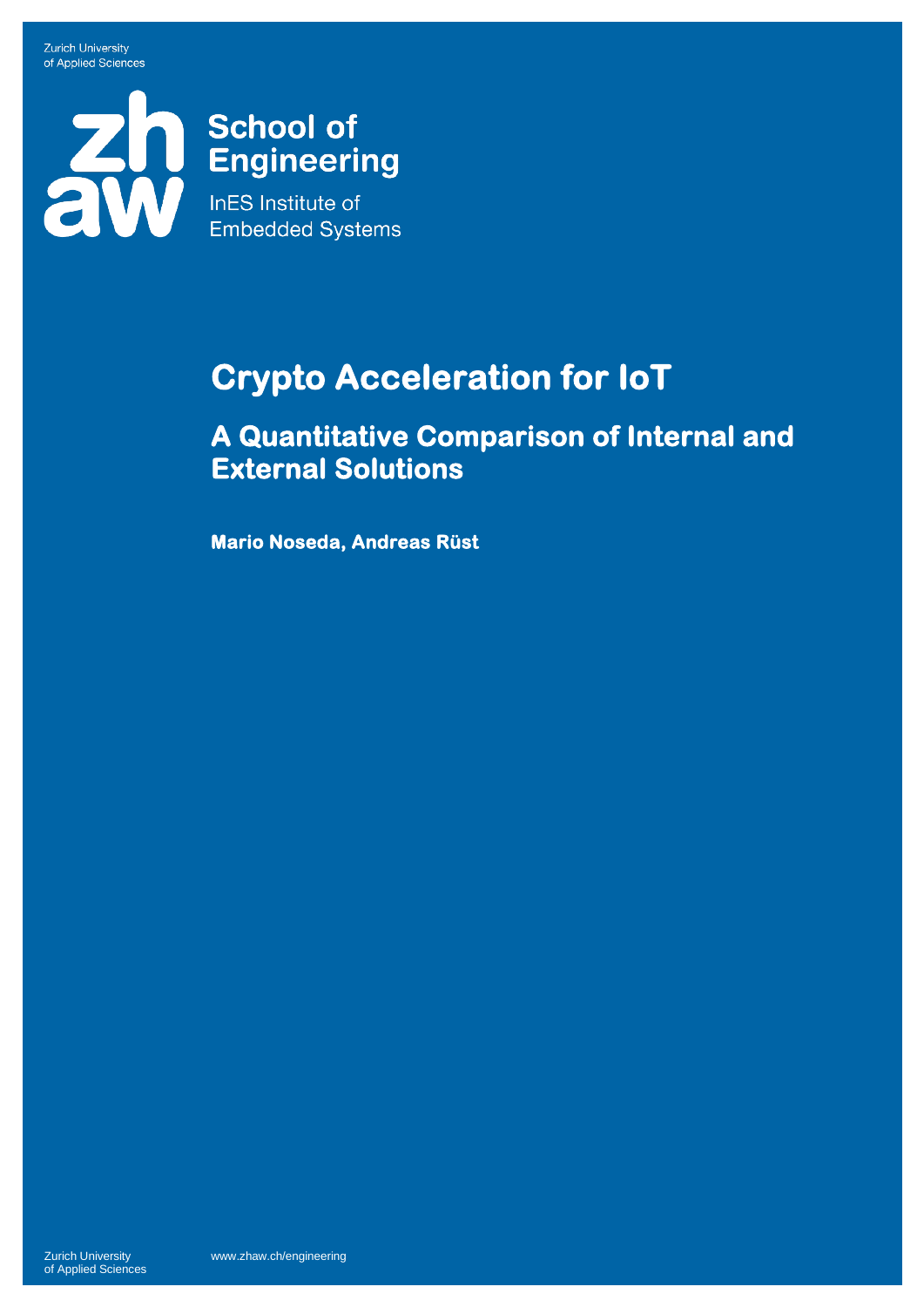**Zurich University** of Applied Sciences

# School of<br>Engineering<br>Ens Institute of **Embedded Systems**

## **Crypto Acceleration for IoT**

**A Quantitative Comparison of Internal and External Solutions** 

**Mario Noseda, Andreas Rüst**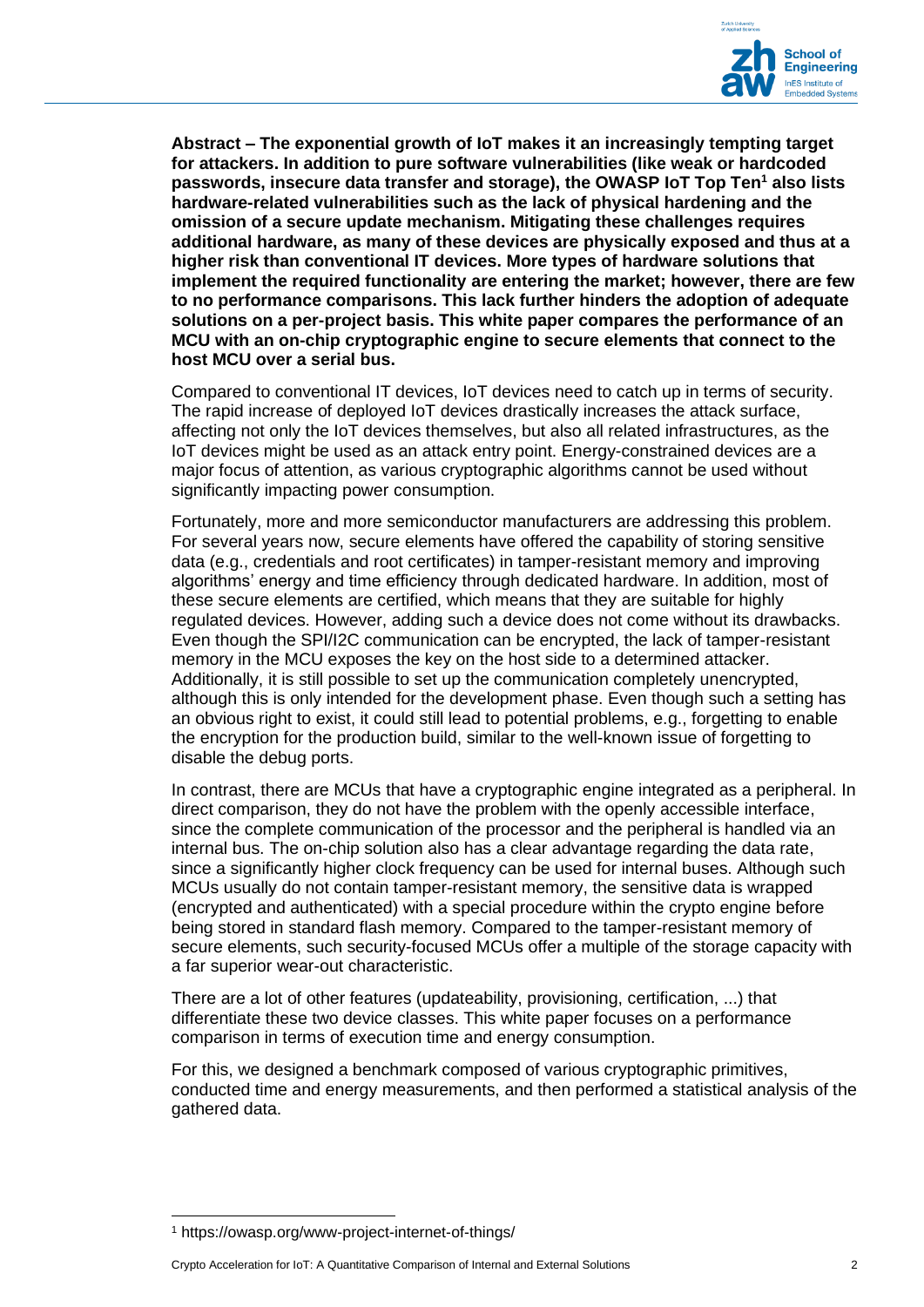

**Abstract – The exponential growth of IoT makes it an increasingly tempting target for attackers. In addition to pure software vulnerabilities (like weak or hardcoded passwords, insecure data transfer and storage), the OWASP IoT Top Ten<sup>1</sup> also lists hardware-related vulnerabilities such as the lack of physical hardening and the omission of a secure update mechanism. Mitigating these challenges requires additional hardware, as many of these devices are physically exposed and thus at a higher risk than conventional IT devices. More types of hardware solutions that implement the required functionality are entering the market; however, there are few to no performance comparisons. This lack further hinders the adoption of adequate solutions on a per-project basis. This white paper compares the performance of an MCU with an on-chip cryptographic engine to secure elements that connect to the host MCU over a serial bus.**

Compared to conventional IT devices, IoT devices need to catch up in terms of security. The rapid increase of deployed IoT devices drastically increases the attack surface, affecting not only the IoT devices themselves, but also all related infrastructures, as the IoT devices might be used as an attack entry point. Energy-constrained devices are a major focus of attention, as various cryptographic algorithms cannot be used without significantly impacting power consumption.

Fortunately, more and more semiconductor manufacturers are addressing this problem. For several years now, secure elements have offered the capability of storing sensitive data (e.g., credentials and root certificates) in tamper-resistant memory and improving algorithms' energy and time efficiency through dedicated hardware. In addition, most of these secure elements are certified, which means that they are suitable for highly regulated devices. However, adding such a device does not come without its drawbacks. Even though the SPI/I2C communication can be encrypted, the lack of tamper-resistant memory in the MCU exposes the key on the host side to a determined attacker. Additionally, it is still possible to set up the communication completely unencrypted, although this is only intended for the development phase. Even though such a setting has an obvious right to exist, it could still lead to potential problems, e.g., forgetting to enable the encryption for the production build, similar to the well-known issue of forgetting to disable the debug ports.

In contrast, there are MCUs that have a cryptographic engine integrated as a peripheral. In direct comparison, they do not have the problem with the openly accessible interface, since the complete communication of the processor and the peripheral is handled via an internal bus. The on-chip solution also has a clear advantage regarding the data rate, since a significantly higher clock frequency can be used for internal buses. Although such MCUs usually do not contain tamper-resistant memory, the sensitive data is wrapped (encrypted and authenticated) with a special procedure within the crypto engine before being stored in standard flash memory. Compared to the tamper-resistant memory of secure elements, such security-focused MCUs offer a multiple of the storage capacity with a far superior wear-out characteristic.

There are a lot of other features (updateability, provisioning, certification, ...) that differentiate these two device classes. This white paper focuses on a performance comparison in terms of execution time and energy consumption.

For this, we designed a benchmark composed of various cryptographic primitives, conducted time and energy measurements, and then performed a statistical analysis of the gathered data.

<sup>1</sup> https://owasp.org/www-project-internet-of-things/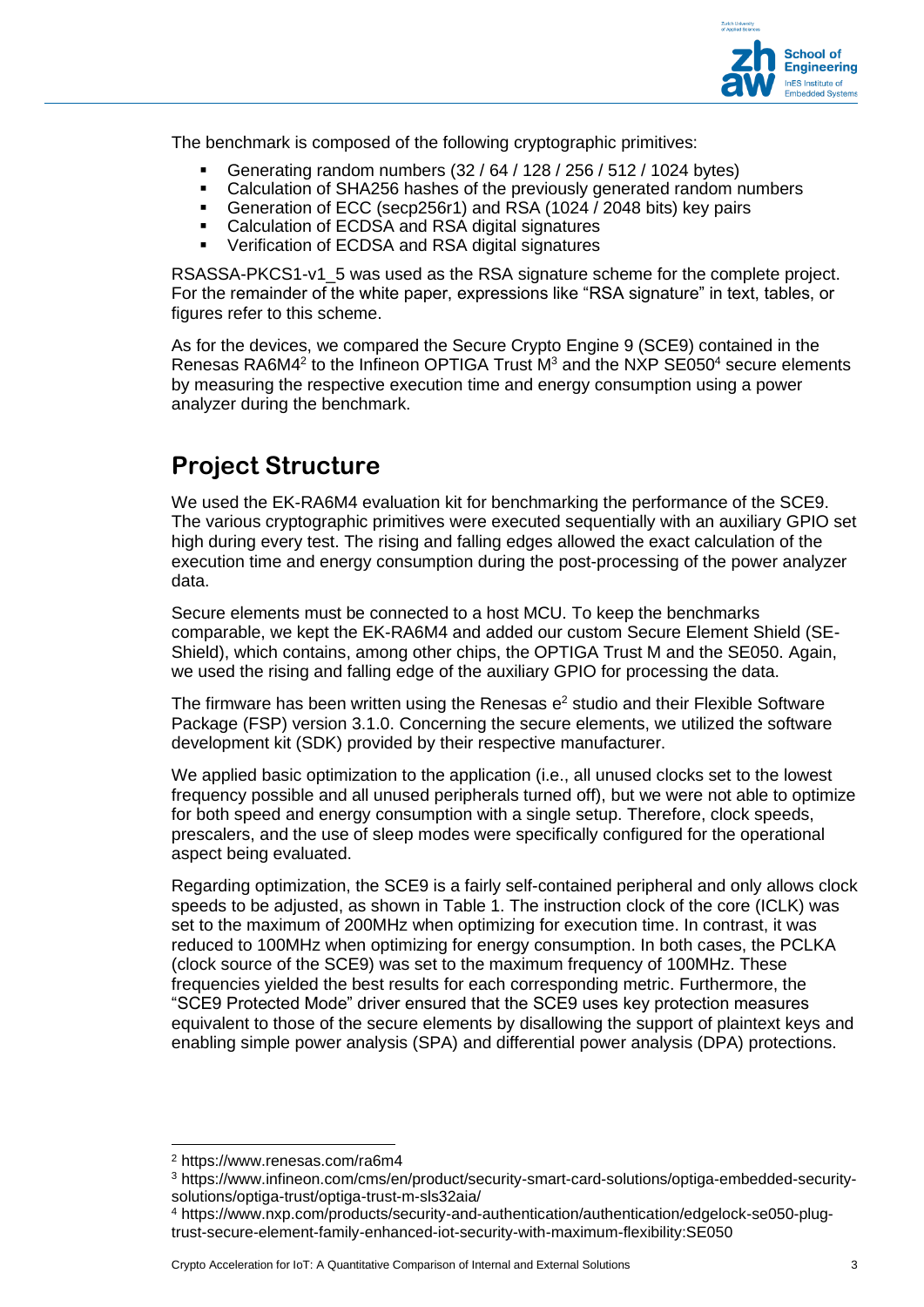

The benchmark is composed of the following cryptographic primitives:

- Generating random numbers (32 / 64 / 128 / 256 / 512 / 1024 bytes)
- Calculation of SHA256 hashes of the previously generated random numbers
- Generation of ECC (secp256r1) and RSA (1024 / 2048 bits) key pairs
- Calculation of ECDSA and RSA digital signatures
- Verification of ECDSA and RSA digital signatures

RSASSA-PKCS1-v1\_5 was used as the RSA signature scheme for the complete project. For the remainder of the white paper, expressions like "RSA signature" in text, tables, or figures refer to this scheme.

As for the devices, we compared the Secure Crypto Engine 9 (SCE9) contained in the Renesas RA6M4<sup>2</sup> to the Infineon OPTIGA Trust  $M<sup>3</sup>$  and the NXP SE050<sup>4</sup> secure elements by measuring the respective execution time and energy consumption using a power analyzer during the benchmark.

## **Project Structure**

We used the EK-RA6M4 evaluation kit for benchmarking the performance of the SCE9. The various cryptographic primitives were executed sequentially with an auxiliary GPIO set high during every test. The rising and falling edges allowed the exact calculation of the execution time and energy consumption during the post-processing of the power analyzer data.

Secure elements must be connected to a host MCU. To keep the benchmarks comparable, we kept the EK-RA6M4 and added our custom Secure Element Shield (SE-Shield), which contains, among other chips, the OPTIGA Trust M and the SE050. Again, we used the rising and falling edge of the auxiliary GPIO for processing the data.

The firmware has been written using the Renesas  $e^2$  studio and their Flexible Software Package (FSP) version 3.1.0. Concerning the secure elements, we utilized the software development kit (SDK) provided by their respective manufacturer.

We applied basic optimization to the application (i.e., all unused clocks set to the lowest frequency possible and all unused peripherals turned off), but we were not able to optimize for both speed and energy consumption with a single setup. Therefore, clock speeds, prescalers, and the use of sleep modes were specifically configured for the operational aspect being evaluated.

Regarding optimization, the SCE9 is a fairly self-contained peripheral and only allows clock speeds to be adjusted, as shown in [Table 1.](#page-3-0) The instruction clock of the core (ICLK) was set to the maximum of 200MHz when optimizing for execution time. In contrast, it was reduced to 100MHz when optimizing for energy consumption. In both cases, the PCLKA (clock source of the SCE9) was set to the maximum frequency of 100MHz. These frequencies yielded the best results for each corresponding metric. Furthermore, the "SCE9 Protected Mode" driver ensured that the SCE9 uses key protection measures equivalent to those of the secure elements by disallowing the support of plaintext keys and enabling simple power analysis (SPA) and differential power analysis (DPA) protections.

<sup>2</sup> <https://www.renesas.com/ra6m4>

<sup>3</sup> [https://www.infineon.com/cms/en/product/security-smart-card-solutions/optiga-embedded-security](https://www.infineon.com/cms/en/product/security-smart-card-solutions/optiga-embedded-security-solutions/optiga-trust/optiga-trust-m-sls32aia/)[solutions/optiga-trust/optiga-trust-m-sls32aia/](https://www.infineon.com/cms/en/product/security-smart-card-solutions/optiga-embedded-security-solutions/optiga-trust/optiga-trust-m-sls32aia/)

<sup>4</sup> [https://www.nxp.com/products/security-and-authentication/authentication/edgelock-se050-plug](https://www.nxp.com/products/security-and-authentication/authentication/edgelock-se050-plug-trust-secure-element-family-enhanced-iot-security-with-maximum-flexibility:SE050)[trust-secure-element-family-enhanced-iot-security-with-maximum-flexibility:SE050](https://www.nxp.com/products/security-and-authentication/authentication/edgelock-se050-plug-trust-secure-element-family-enhanced-iot-security-with-maximum-flexibility:SE050)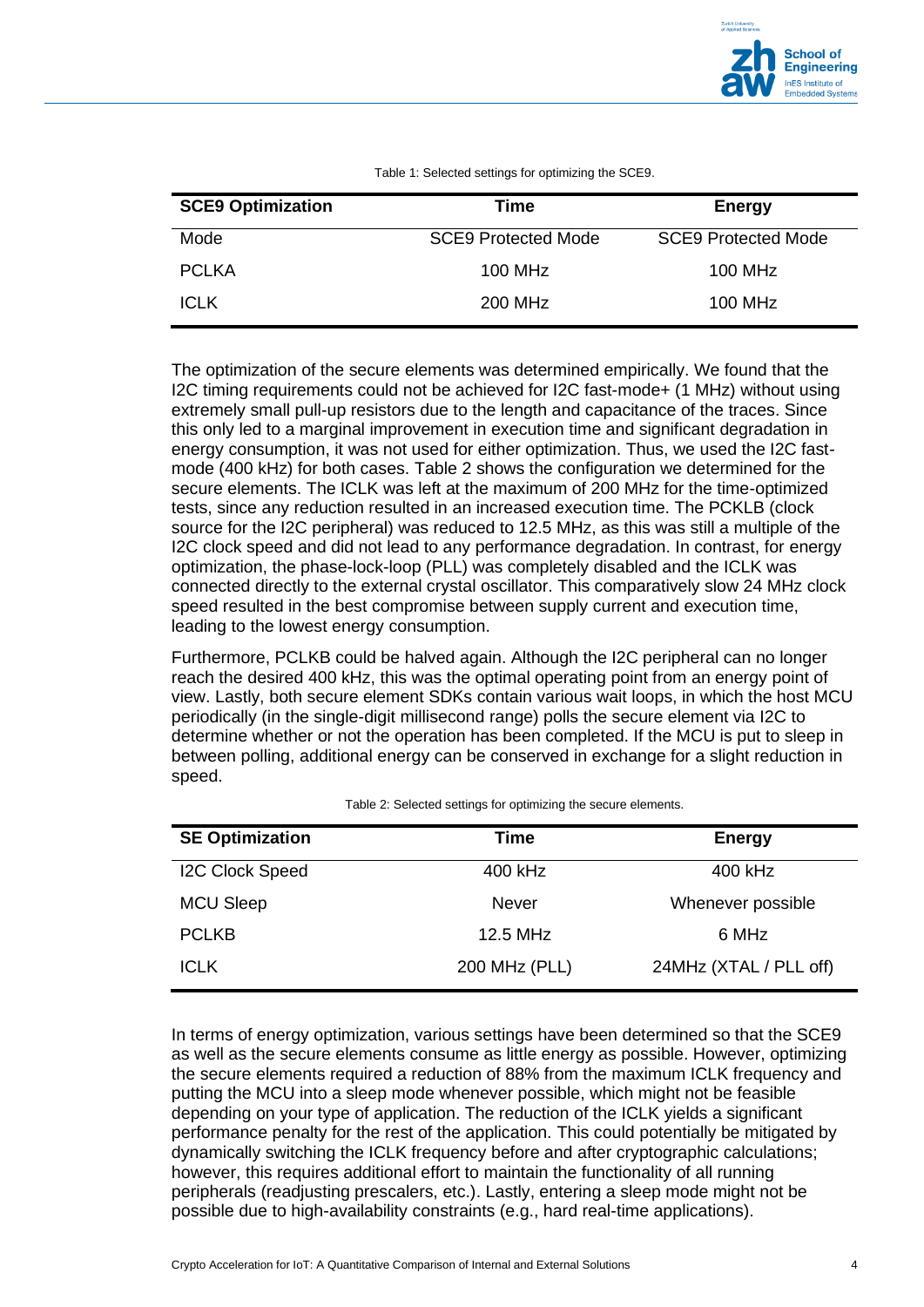

<span id="page-3-0"></span>

| <b>SCE9 Optimization</b> | Time                       | <b>Energy</b>              |
|--------------------------|----------------------------|----------------------------|
| Mode                     | <b>SCE9 Protected Mode</b> | <b>SCE9 Protected Mode</b> |
| <b>PCLKA</b>             | 100 MHz                    | 100 MHz                    |
| <b>ICLK</b>              | 200 MHz                    | 100 MHz                    |

Table 1: Selected settings for optimizing the SCE9.

The optimization of the secure elements was determined empirically. We found that the I2C timing requirements could not be achieved for I2C fast-mode+ (1 MHz) without using extremely small pull-up resistors due to the length and capacitance of the traces. Since this only led to a marginal improvement in execution time and significant degradation in energy consumption, it was not used for either optimization. Thus, we used the I2C fastmode (400 kHz) for both cases. [Table 2](#page-3-1) shows the configuration we determined for the secure elements. The ICLK was left at the maximum of 200 MHz for the time-optimized tests, since any reduction resulted in an increased execution time. The PCKLB (clock source for the I2C peripheral) was reduced to 12.5 MHz, as this was still a multiple of the I2C clock speed and did not lead to any performance degradation. In contrast, for energy optimization, the phase-lock-loop (PLL) was completely disabled and the ICLK was connected directly to the external crystal oscillator. This comparatively slow 24 MHz clock speed resulted in the best compromise between supply current and execution time, leading to the lowest energy consumption.

Furthermore, PCLKB could be halved again. Although the I2C peripheral can no longer reach the desired 400 kHz, this was the optimal operating point from an energy point of view. Lastly, both secure element SDKs contain various wait loops, in which the host MCU periodically (in the single-digit millisecond range) polls the secure element via I2C to determine whether or not the operation has been completed. If the MCU is put to sleep in between polling, additional energy can be conserved in exchange for a slight reduction in speed.

<span id="page-3-1"></span>

| <b>SE Optimization</b> | Time          | <b>Energy</b>          |
|------------------------|---------------|------------------------|
| <b>I2C Clock Speed</b> | 400 kHz       | 400 kHz                |
| <b>MCU Sleep</b>       | <b>Never</b>  | Whenever possible      |
| <b>PCLKB</b>           | 12.5 MHz      | 6 MHz                  |
| <b>ICLK</b>            | 200 MHz (PLL) | 24MHz (XTAL / PLL off) |

Table 2: Selected settings for optimizing the secure elements.

In terms of energy optimization, various settings have been determined so that the SCE9 as well as the secure elements consume as little energy as possible. However, optimizing the secure elements required a reduction of 88% from the maximum ICLK frequency and putting the MCU into a sleep mode whenever possible, which might not be feasible depending on your type of application. The reduction of the ICLK yields a significant performance penalty for the rest of the application. This could potentially be mitigated by dynamically switching the ICLK frequency before and after cryptographic calculations; however, this requires additional effort to maintain the functionality of all running peripherals (readjusting prescalers, etc.). Lastly, entering a sleep mode might not be possible due to high-availability constraints (e.g., hard real-time applications).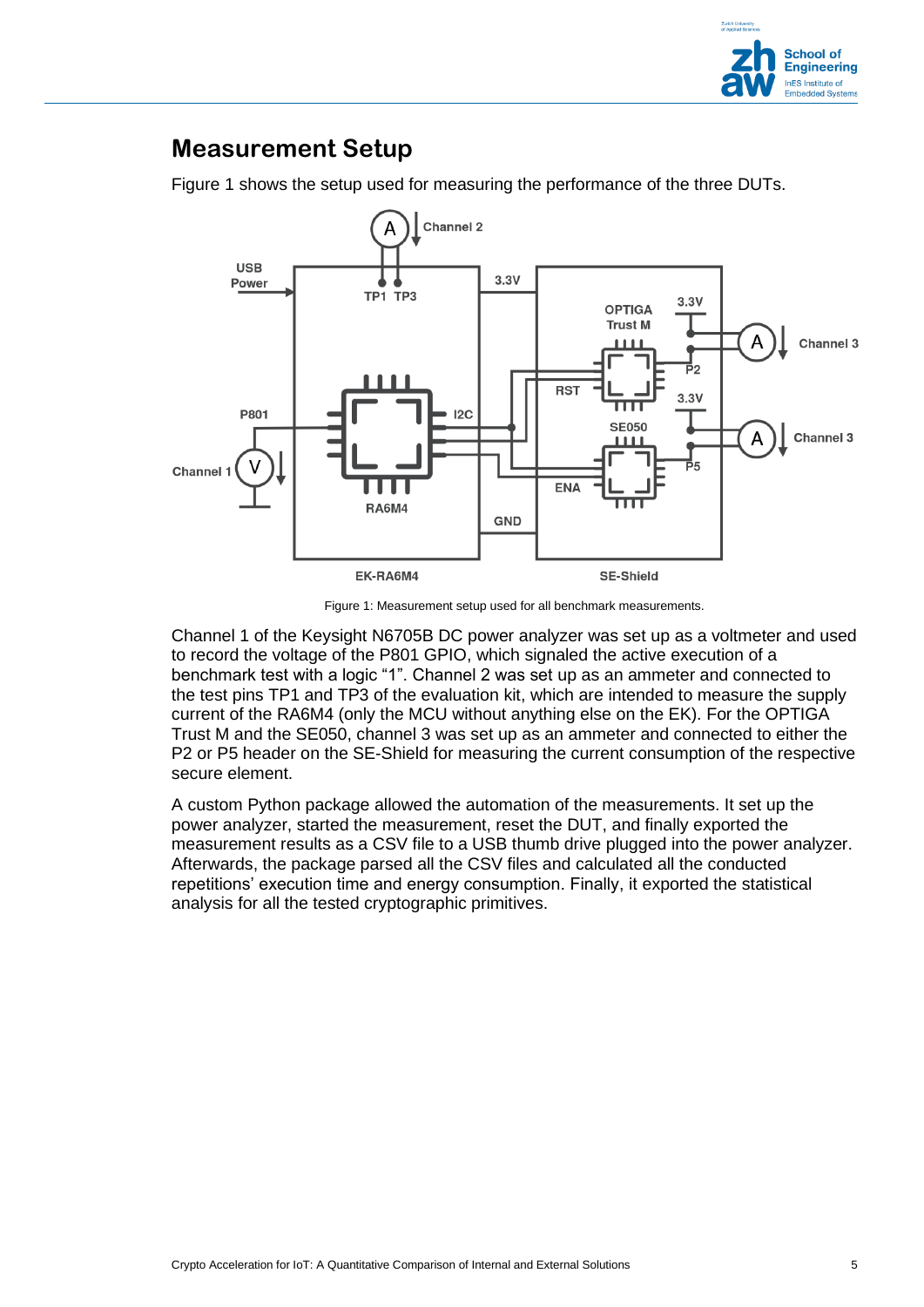

### **Measurement Setup**

[Figure 1](#page-4-0) shows the setup used for measuring the performance of the three DUTs.



Figure 1: Measurement setup used for all benchmark measurements.

<span id="page-4-0"></span>Channel 1 of the Keysight N6705B DC power analyzer was set up as a voltmeter and used to record the voltage of the P801 GPIO, which signaled the active execution of a benchmark test with a logic "1". Channel 2 was set up as an ammeter and connected to the test pins TP1 and TP3 of the evaluation kit, which are intended to measure the supply current of the RA6M4 (only the MCU without anything else on the EK). For the OPTIGA Trust M and the SE050, channel 3 was set up as an ammeter and connected to either the P2 or P5 header on the SE-Shield for measuring the current consumption of the respective secure element.

A custom Python package allowed the automation of the measurements. It set up the power analyzer, started the measurement, reset the DUT, and finally exported the measurement results as a CSV file to a USB thumb drive plugged into the power analyzer. Afterwards, the package parsed all the CSV files and calculated all the conducted repetitions' execution time and energy consumption. Finally, it exported the statistical analysis for all the tested cryptographic primitives.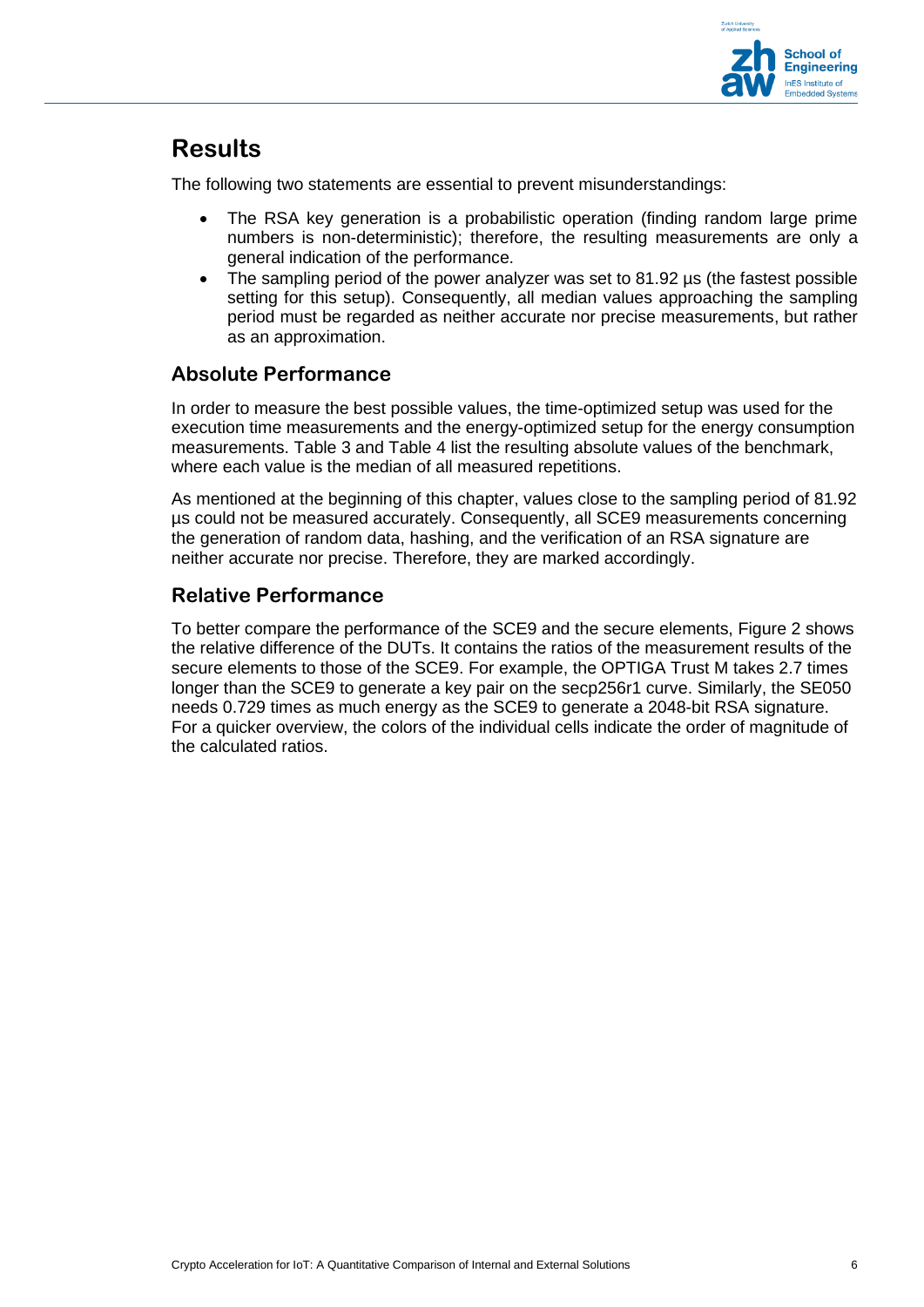

## **Results**

The following two statements are essential to prevent misunderstandings:

- The RSA key generation is a probabilistic operation (finding random large prime numbers is non-deterministic); therefore, the resulting measurements are only a general indication of the performance.
- The sampling period of the power analyzer was set to 81.92 us (the fastest possible setting for this setup). Consequently, all median values approaching the sampling period must be regarded as neither accurate nor precise measurements, but rather as an approximation.

#### **Absolute Performance**

In order to measure the best possible values, the time-optimized setup was used for the execution time measurements and the energy-optimized setup for the energy consumption measurements. [Table 3](#page-6-0) and [Table 4](#page-7-0) list the resulting absolute values of the benchmark, where each value is the median of all measured repetitions.

As mentioned at the beginning of this chapter, values close to the sampling period of 81.92 µs could not be measured accurately. Consequently, all SCE9 measurements concerning the generation of random data, hashing, and the verification of an RSA signature are neither accurate nor precise. Therefore, they are marked accordingly.

#### **Relative Performance**

To better compare the performance of the SCE9 and the secure elements, [Figure 2](#page-8-0) shows the relative difference of the DUTs. It contains the ratios of the measurement results of the secure elements to those of the SCE9. For example, the OPTIGA Trust M takes 2.7 times longer than the SCE9 to generate a key pair on the secp256r1 curve. Similarly, the SE050 needs 0.729 times as much energy as the SCE9 to generate a 2048-bit RSA signature. For a quicker overview, the colors of the individual cells indicate the order of magnitude of the calculated ratios.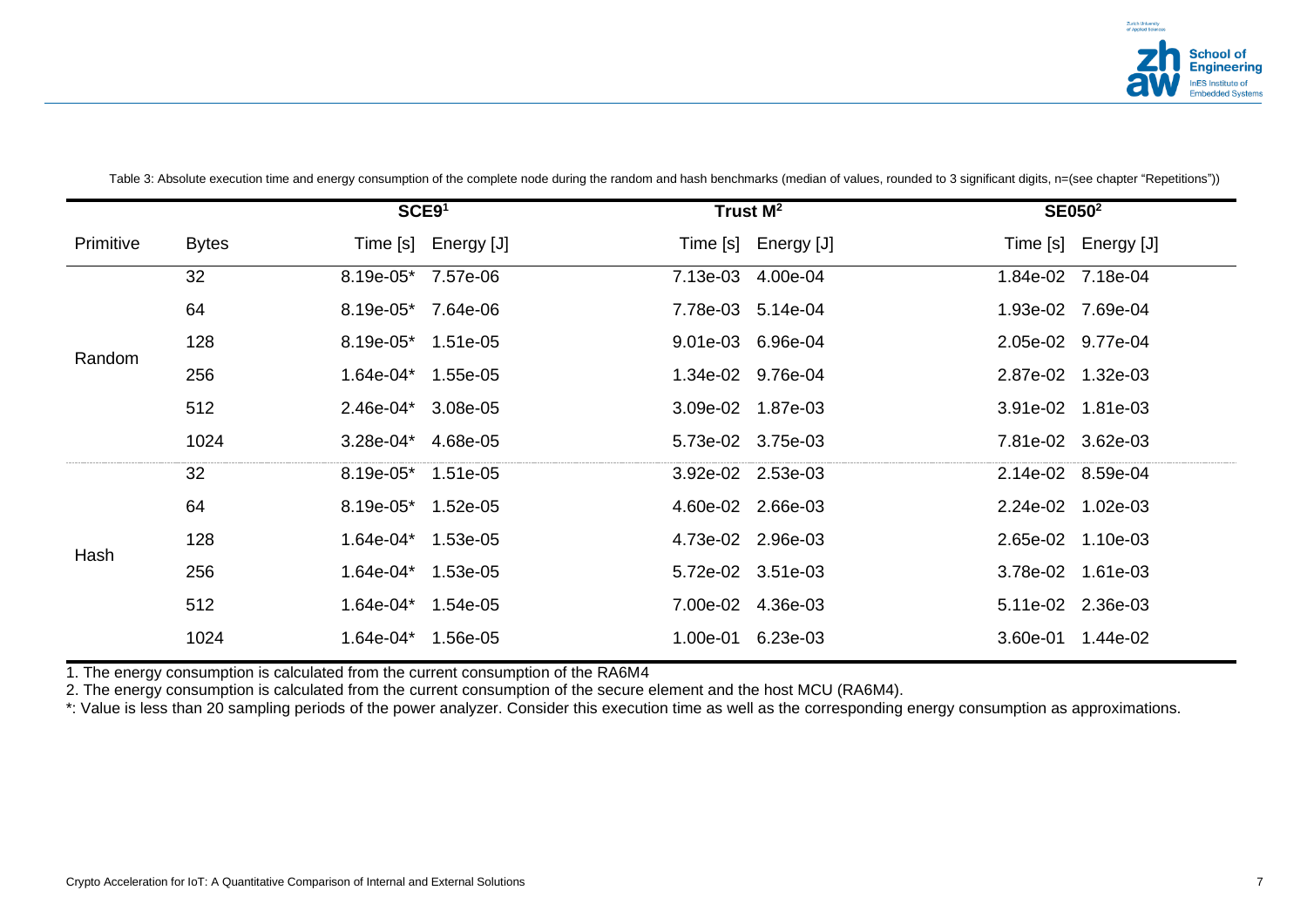

|           |              | SCE91              |                     |          | Trust M <sup>2</sup> |          | SE050 <sup>2</sup>  |
|-----------|--------------|--------------------|---------------------|----------|----------------------|----------|---------------------|
| Primitive | <b>Bytes</b> |                    | Time [s] Energy [J] |          | Time [s] Energy [J]  |          | Time [s] Energy [J] |
|           | 32           | 8.19e-05* 7.57e-06 |                     | 7.13e-03 | 4.00e-04             | 1.84e-02 | 7.18e-04            |
|           | 64           | 8.19e-05* 7.64e-06 |                     |          | 7.78e-03 5.14e-04    |          | 1.93e-02 7.69e-04   |
| Random    | 128          | 8.19e-05* 1.51e-05 |                     |          | 9.01e-03 6.96e-04    |          | 2.05e-02 9.77e-04   |
|           | 256          | 1.64e-04* 1.55e-05 |                     |          | 1.34e-02 9.76e-04    |          | 2.87e-02 1.32e-03   |
|           | 512          | $2.46e-04*$        | 3.08e-05            |          | 3.09e-02 1.87e-03    |          | 3.91e-02 1.81e-03   |
|           | 1024         | 3.28e-04* 4.68e-05 |                     |          | 5.73e-02 3.75e-03    |          | 7.81e-02 3.62e-03   |
|           | 32           | 8.19e-05* 1.51e-05 |                     |          | 3.92e-02 2.53e-03    |          | 2.14e-02 8.59e-04   |
|           | 64           | 8.19e-05* 1.52e-05 |                     |          | 4.60e-02 2.66e-03    |          | 2.24e-02 1.02e-03   |
| Hash      | 128          | 1.64e-04* 1.53e-05 |                     |          | 4.73e-02 2.96e-03    |          | 2.65e-02 1.10e-03   |
|           | 256          | 1.64e-04* 1.53e-05 |                     |          | 5.72e-02 3.51e-03    |          | 3.78e-02 1.61e-03   |
|           | 512          | 1.64e-04* 1.54e-05 |                     |          | 7.00e-02 4.36e-03    |          | 5.11e-02 2.36e-03   |
|           | 1024         | 1.64e-04* 1.56e-05 |                     |          | 1.00e-01 6.23e-03    | 3.60e-01 | 1.44e-02            |

Table 3: Absolute execution time and energy consumption of the complete node during the random and hash benchmarks (median of values, rounded to 3 significant digits, n=(see chapter "Repetitions"))

<span id="page-6-0"></span>1. The energy consumption is calculated from the current consumption of the RA6M4

2. The energy consumption is calculated from the current consumption of the secure element and the host MCU (RA6M4).

\*: Value is less than 20 sampling periods of the power analyzer. Consider this execution time as well as the corresponding energy consumption as approximations.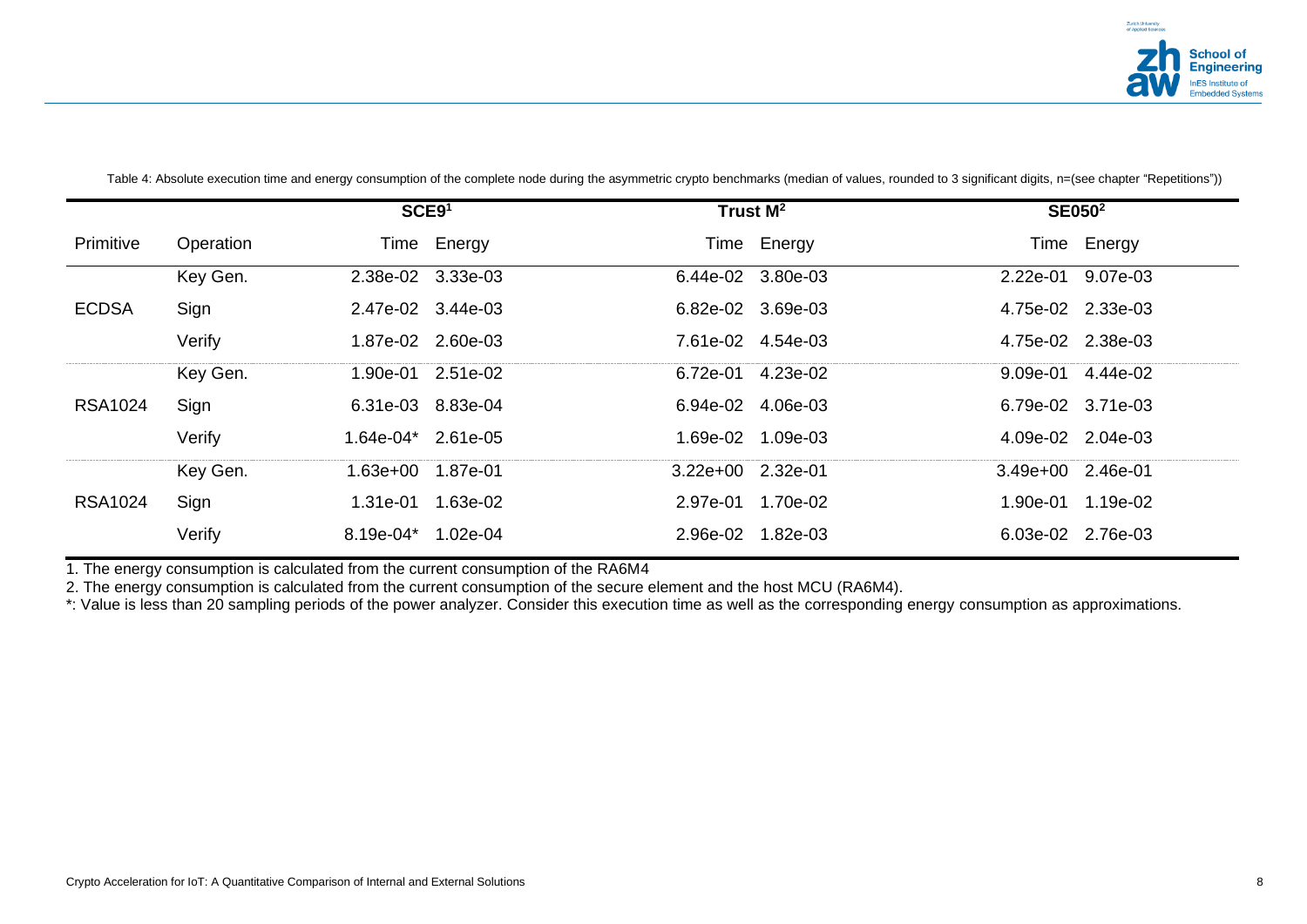

|                |           | SCE91              |                   |                   | Trust M <sup>2</sup> | <b>SE050<sup>2</sup></b> |             |
|----------------|-----------|--------------------|-------------------|-------------------|----------------------|--------------------------|-------------|
| Primitive      | Operation |                    | Time Energy       |                   | Time Energy          |                          | Time Energy |
|                | Key Gen.  | 2.38e-02 3.33e-03  |                   |                   | 6.44e-02 3.80e-03    | 2.22e-01                 | 9.07e-03    |
| <b>ECDSA</b>   | Sign      | 2.47e-02 3.44e-03  |                   |                   | 6.82e-02 3.69e-03    | 4.75e-02 2.33e-03        |             |
|                | Verify    |                    | 1.87e-02 2.60e-03 |                   | 7.61e-02 4.54e-03    | 4.75e-02 2.38e-03        |             |
|                | Key Gen.  |                    | 1.90e-01 2.51e-02 |                   | 6.72e-01 4.23e-02    | 9.09e-01 4.44e-02        |             |
| RSA1024        | Sign      | 6.31e-03 8.83e-04  |                   |                   | 6.94e-02 4.06e-03    | 6.79e-02 3.71e-03        |             |
|                | Verify    | 1.64e-04* 2.61e-05 |                   |                   | 1.69e-02 1.09e-03    | 4.09e-02 2.04e-03        |             |
|                | Key Gen.  | 1.63e+00 1.87e-01  |                   | 3.22e+00 2.32e-01 |                      | 3.49e+00 2.46e-01        |             |
| <b>RSA1024</b> | Sign      | 1.31e-01           | 1.63e-02          | 2.97e-01          | 1.70e-02             | 1.90e-01                 | 1.19e-02    |
|                | Verify    | 8.19e-04*          | 1.02e-04          |                   | 2.96e-02 1.82e-03    | 6.03e-02 2.76e-03        |             |

Table 4: Absolute execution time and energy consumption of the complete node during the asymmetric crypto benchmarks (median of values, rounded to 3 significant digits, n=(see chapter "Repetitions"))

<span id="page-7-0"></span>1. The energy consumption is calculated from the current consumption of the RA6M4

2. The energy consumption is calculated from the current consumption of the secure element and the host MCU (RA6M4).

\*: Value is less than 20 sampling periods of the power analyzer. Consider this execution time as well as the corresponding energy consumption as approximations.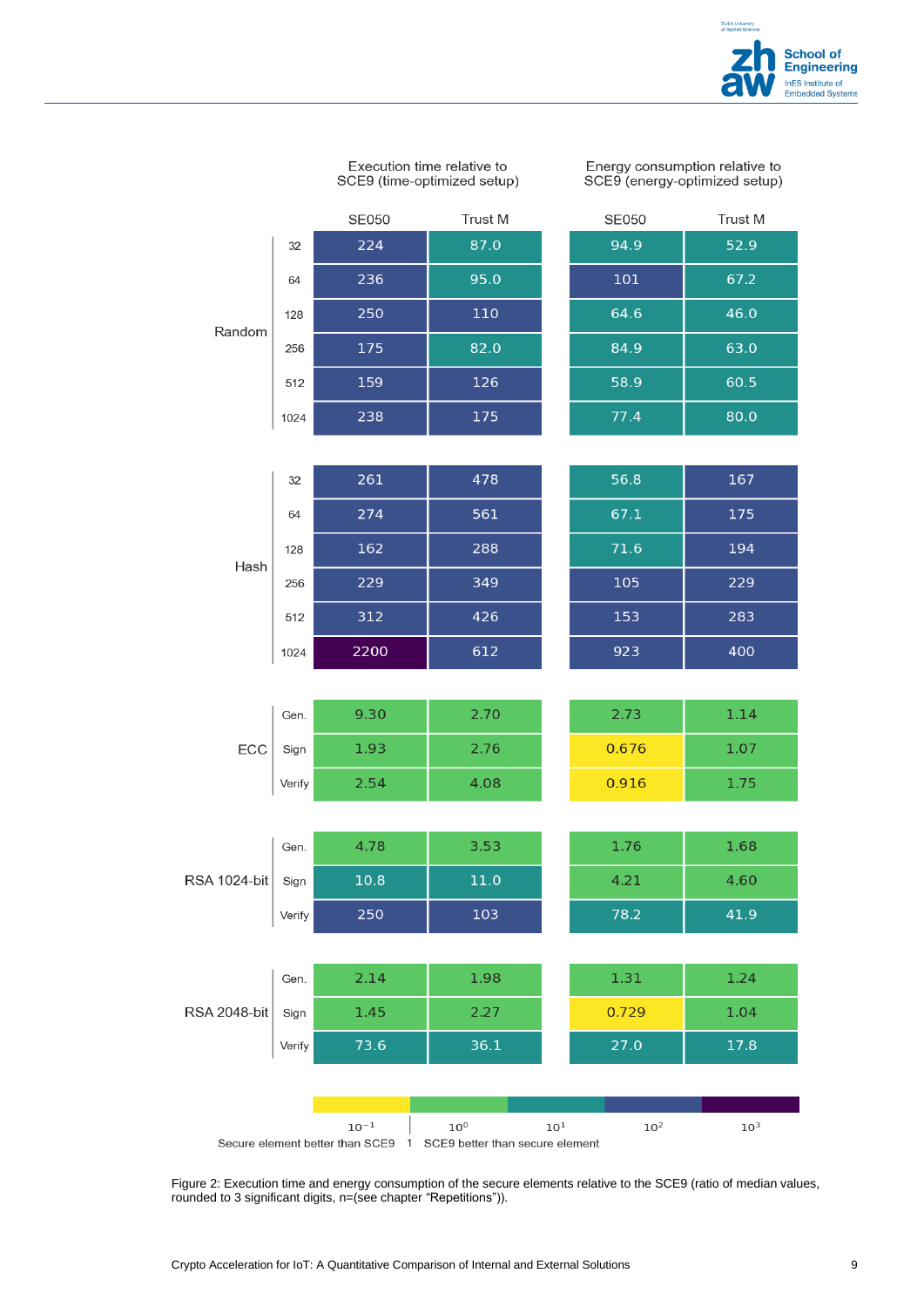

Execution time relative to SCE9 (time-optimized setup) Energy consumption relative to<br>SCE9 (energy-optimized setup)

|                     |        | <b>SE050</b> | Trust M |          | <b>SE050</b> | <b>Trust M</b> |
|---------------------|--------|--------------|---------|----------|--------------|----------------|
|                     | 32     | 224          | 87.0    |          | 94.9         | 52.9           |
|                     | 64     | 236          | 95.0    |          | 101          | 67.2           |
| Random              | 128    | 250          | 110     |          | 64.6         | 46.0           |
|                     | 256    | 175          | 82.0    |          | 84.9         | 63.0           |
|                     | 512    | 159          | 126     |          | 58.9         | 60.5           |
|                     | 1024   | 238          | 175     |          | 77.4         | 80.0           |
|                     |        |              |         |          |              |                |
|                     | 32     | 261          | 478     |          | 56.8         | 167            |
|                     | 64     | 274          | 561     |          | 67.1         | 175            |
| Hash                | 128    | 162          | 288     |          | 71.6         | 194            |
|                     | 256    | 229          | 349     |          | 105          | 229            |
|                     | 512    | 312          | 426     |          | 153          | 283            |
|                     | 1024   | 2200         | 612     |          | 923          | 400            |
|                     |        |              |         |          |              |                |
|                     | Gen.   | 9.30         | 2.70    |          | 2.73         | 1.14           |
| ECC                 | Sign   | 1.93         | 2.76    |          | 0.676        | 1.07           |
|                     | Verify | 2.54         | 4.08    |          | 0.916        | 1.75           |
|                     |        |              |         |          |              |                |
|                     | Gen.   | 4.78         | 3.53    |          | 1.76         | 1.68           |
| <b>RSA 1024-bit</b> | Sign   | $10.8\,$     | 11.0    |          | 4.21         | 4.60           |
|                     | Verify | 250          | 103     |          | 78.2         | 41.9           |
|                     |        |              |         |          |              |                |
|                     | Gen.   | 2.14         | 1.98    |          | 1.31         | 1.24           |
| <b>RSA 2048-bit</b> | Sign   | 1.45         | 2.27    |          | 0.729        | 1.04           |
|                     | Verify | 73.6         | 36.1    |          | 27.0         | 17.8           |
|                     |        |              |         |          |              |                |
|                     |        | $10^{-1}$    | $10^0$  | $10^1\,$ | $10^2$       | $10^3$         |

Secure element better than SCE9 1 SCE9 better than secure element

<span id="page-8-0"></span>Figure 2: Execution time and energy consumption of the secure elements relative to the SCE9 (ratio of median values, rounded to 3 significant digits, n=(see chapter "Repetitions")).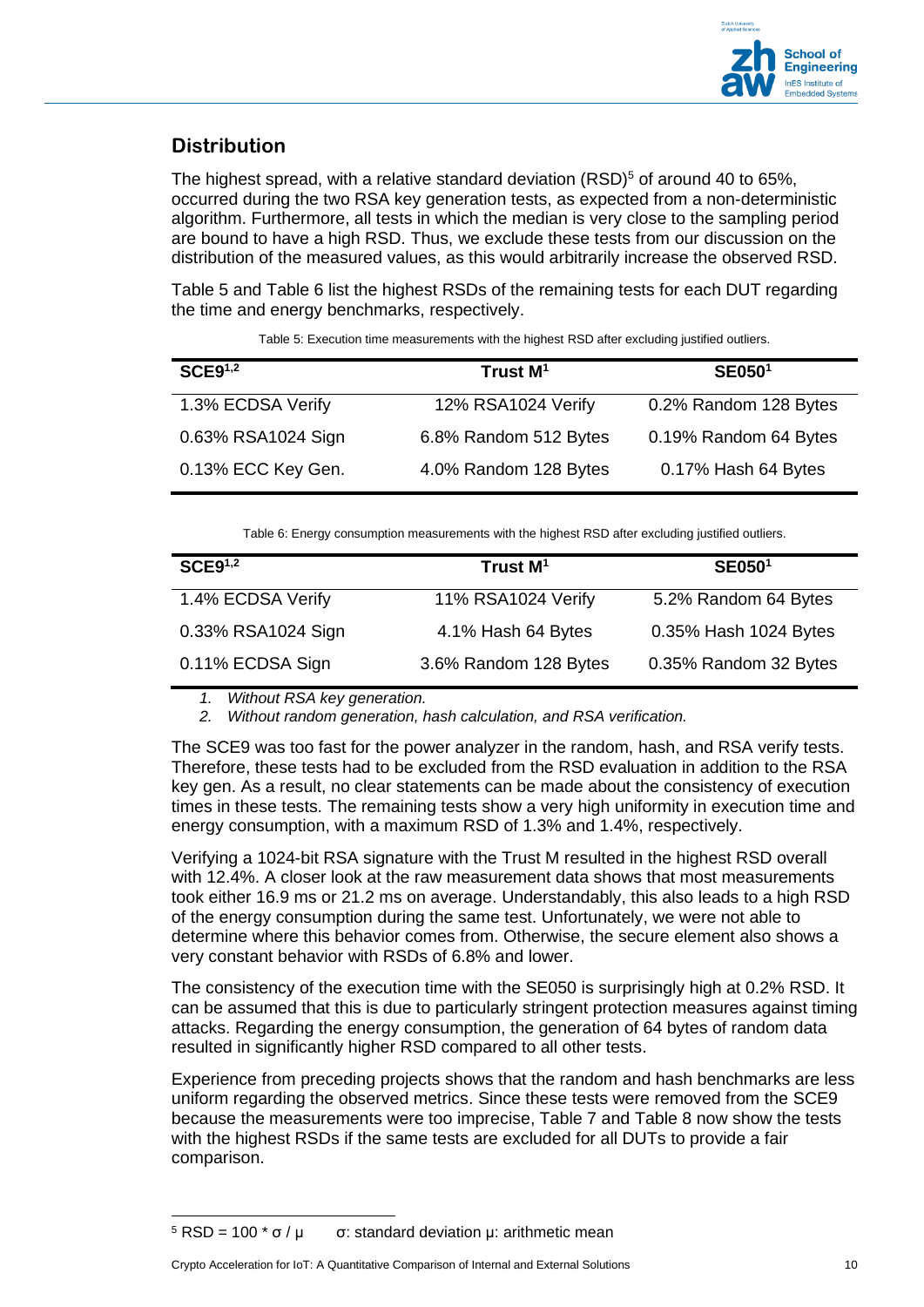

#### **Distribution**

The highest spread, with a relative standard deviation  $(RSD)^5$  of around 40 to 65%. occurred during the two RSA key generation tests, as expected from a non-deterministic algorithm. Furthermore, all tests in which the median is very close to the sampling period are bound to have a high RSD. Thus, we exclude these tests from our discussion on the distribution of the measured values, as this would arbitrarily increase the observed RSD.

[Table 5](#page-9-0) and [Table 6](#page-9-1) list the highest RSDs of the remaining tests for each DUT regarding the time and energy benchmarks, respectively.

<span id="page-9-0"></span>

| SCE9 <sup>1,2</sup> | Trust M <sup>1</sup>  | <b>SE0501</b>         |
|---------------------|-----------------------|-----------------------|
| 1.3% ECDSA Verify   | 12% RSA1024 Verify    | 0.2% Random 128 Bytes |
| 0.63% RSA1024 Sign  | 6.8% Random 512 Bytes | 0.19% Random 64 Bytes |
| 0.13% ECC Key Gen.  | 4.0% Random 128 Bytes | 0.17% Hash 64 Bytes   |
|                     |                       |                       |

Table 5: Execution time measurements with the highest RSD after excluding justified outliers.

Table 6: Energy consumption measurements with the highest RSD after excluding justified outliers.

<span id="page-9-1"></span>

| SCE9 <sup>1,2</sup> | Trust M <sup>1</sup>  | <b>SE0501</b>         |
|---------------------|-----------------------|-----------------------|
| 1.4% ECDSA Verify   | 11% RSA1024 Verify    | 5.2% Random 64 Bytes  |
| 0.33% RSA1024 Sign  | 4.1% Hash 64 Bytes    | 0.35% Hash 1024 Bytes |
| 0.11% ECDSA Sign    | 3.6% Random 128 Bytes | 0.35% Random 32 Bytes |

*1. Without RSA key generation.*

*2. Without random generation, hash calculation, and RSA verification.*

The SCE9 was too fast for the power analyzer in the random, hash, and RSA verify tests. Therefore, these tests had to be excluded from the RSD evaluation in addition to the RSA key gen. As a result, no clear statements can be made about the consistency of execution times in these tests. The remaining tests show a very high uniformity in execution time and energy consumption, with a maximum RSD of 1.3% and 1.4%, respectively.

Verifying a 1024-bit RSA signature with the Trust M resulted in the highest RSD overall with 12.4%. A closer look at the raw measurement data shows that most measurements took either 16.9 ms or 21.2 ms on average. Understandably, this also leads to a high RSD of the energy consumption during the same test. Unfortunately, we were not able to determine where this behavior comes from. Otherwise, the secure element also shows a very constant behavior with RSDs of 6.8% and lower.

The consistency of the execution time with the SE050 is surprisingly high at 0.2% RSD. It can be assumed that this is due to particularly stringent protection measures against timing attacks. Regarding the energy consumption, the generation of 64 bytes of random data resulted in significantly higher RSD compared to all other tests.

Experience from preceding projects shows that the random and hash benchmarks are less uniform regarding the observed metrics. Since these tests were removed from the SCE9 because the measurements were too imprecise, [Table 7](#page-10-0) and [Table 8](#page-10-1) now show the tests with the highest RSDs if the same tests are excluded for all DUTs to provide a fair comparison.

 $5$  RSD = 100  $*$  σ / μ  $\sigma$ : standard deviation μ: arithmetic mean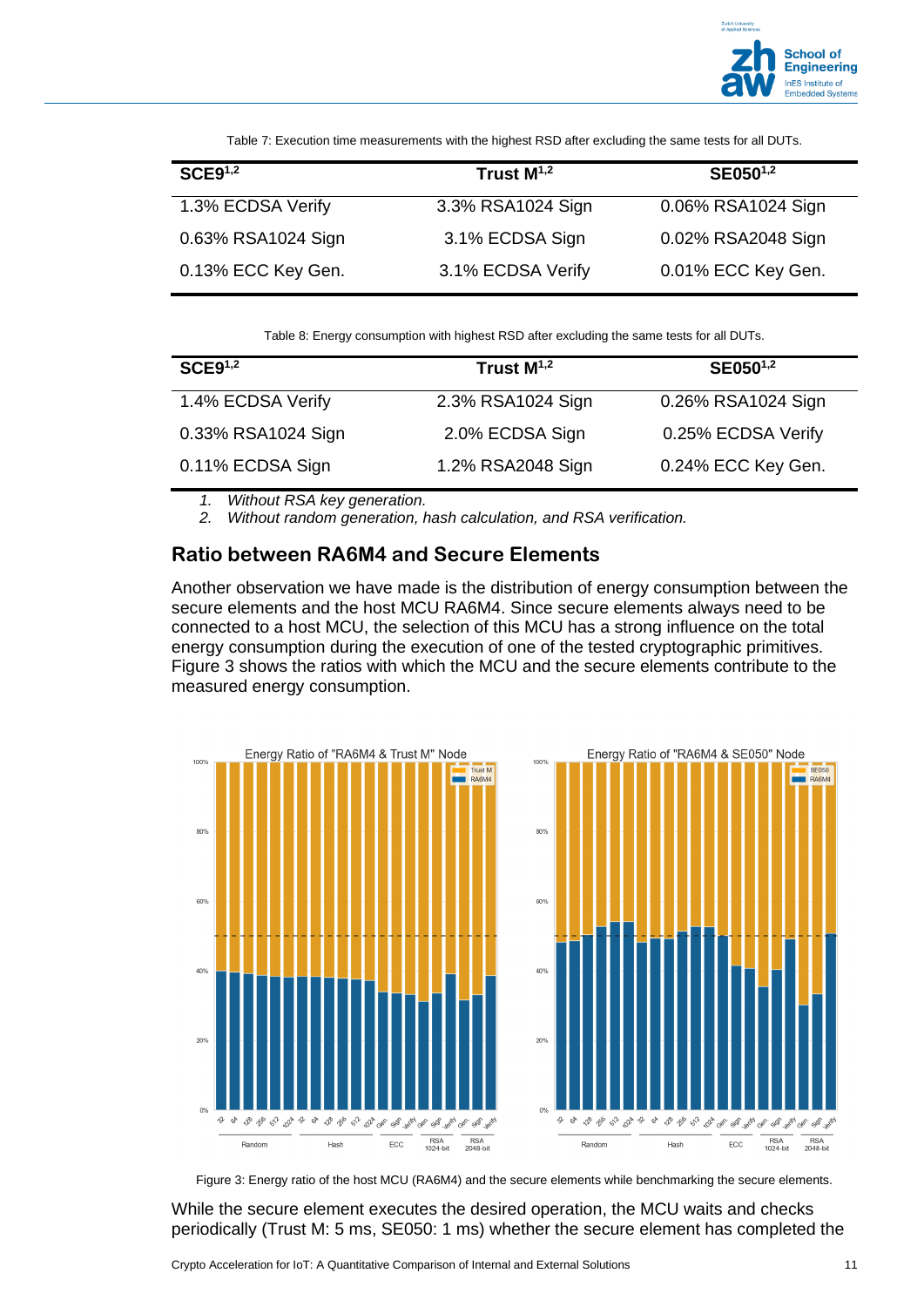

Table 7: Execution time measurements with the highest RSD after excluding the same tests for all DUTs.

<span id="page-10-0"></span>

| SCE9 <sup>1,2</sup> | Trust $M^{1,2}$   | SE050 <sup>1,2</sup> |
|---------------------|-------------------|----------------------|
| 1.3% ECDSA Verify   | 3.3% RSA1024 Sign | 0.06% RSA1024 Sign   |
| 0.63% RSA1024 Sign  | 3.1% ECDSA Sign   | 0.02% RSA2048 Sign   |
| 0.13% ECC Key Gen.  | 3.1% ECDSA Verify | 0.01% ECC Key Gen.   |

Table 8: Energy consumption with highest RSD after excluding the same tests for all DUTs.

<span id="page-10-1"></span>

| SCE9 <sup>1,2</sup> | Trust $M^{1,2}$   | SE050 <sup>1,2</sup> |
|---------------------|-------------------|----------------------|
| 1.4% ECDSA Verify   | 2.3% RSA1024 Sign | 0.26% RSA1024 Sign   |
| 0.33% RSA1024 Sign  | 2.0% ECDSA Sign   | 0.25% ECDSA Verify   |
| 0.11% ECDSA Sign    | 1.2% RSA2048 Sign | 0.24% ECC Key Gen.   |

*1. Without RSA key generation.*

*2. Without random generation, hash calculation, and RSA verification.*

#### **Ratio between RA6M4 and Secure Elements**

Another observation we have made is the distribution of energy consumption between the secure elements and the host MCU RA6M4. Since secure elements always need to be connected to a host MCU, the selection of this MCU has a strong influence on the total energy consumption during the execution of one of the tested cryptographic primitives. [Figure 3](#page-10-2) shows the ratios with which the MCU and the secure elements contribute to the measured energy consumption.



Figure 3: Energy ratio of the host MCU (RA6M4) and the secure elements while benchmarking the secure elements.

<span id="page-10-2"></span>While the secure element executes the desired operation, the MCU waits and checks periodically (Trust M: 5 ms, SE050: 1 ms) whether the secure element has completed the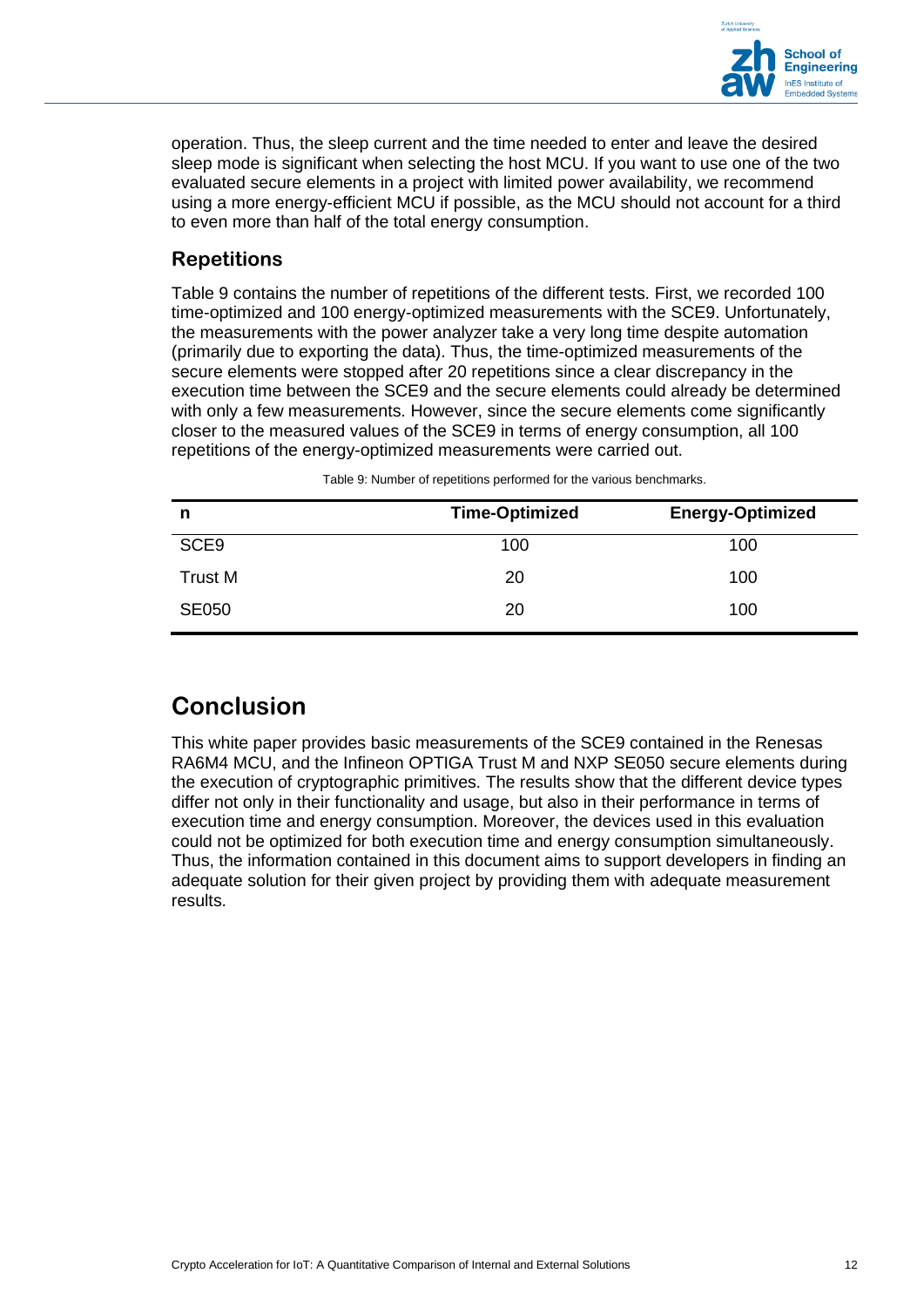

operation. Thus, the sleep current and the time needed to enter and leave the desired sleep mode is significant when selecting the host MCU. If you want to use one of the two evaluated secure elements in a project with limited power availability, we recommend using a more energy-efficient MCU if possible, as the MCU should not account for a third to even more than half of the total energy consumption.

#### **Repetitions**

[Table 9](#page-11-0) contains the number of repetitions of the different tests. First, we recorded 100 time-optimized and 100 energy-optimized measurements with the SCE9. Unfortunately, the measurements with the power analyzer take a very long time despite automation (primarily due to exporting the data). Thus, the time-optimized measurements of the secure elements were stopped after 20 repetitions since a clear discrepancy in the execution time between the SCE9 and the secure elements could already be determined with only a few measurements. However, since the secure elements come significantly closer to the measured values of the SCE9 in terms of energy consumption, all 100 repetitions of the energy-optimized measurements were carried out.

<span id="page-11-0"></span>

| n            | <b>Time-Optimized</b> | <b>Energy-Optimized</b> |
|--------------|-----------------------|-------------------------|
| SCE9         | 100                   | 100                     |
| Trust M      | 20                    | 100                     |
| <b>SE050</b> | 20                    | 100                     |

Table 9: Number of repetitions performed for the various benchmarks.

## **Conclusion**

This white paper provides basic measurements of the SCE9 contained in the Renesas RA6M4 MCU, and the Infineon OPTIGA Trust M and NXP SE050 secure elements during the execution of cryptographic primitives. The results show that the different device types differ not only in their functionality and usage, but also in their performance in terms of execution time and energy consumption. Moreover, the devices used in this evaluation could not be optimized for both execution time and energy consumption simultaneously. Thus, the information contained in this document aims to support developers in finding an adequate solution for their given project by providing them with adequate measurement results.